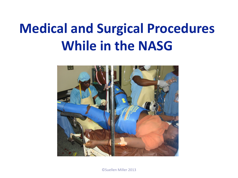# **Medical and Surgical Procedures While in the NASG**

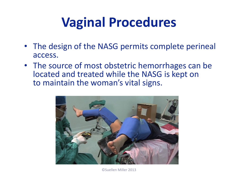## **Vaginal Procedures**

- The design of the NASG permits complete perineal access.
- The source of most obstetric hemorrhages can be located and treated while the NASG is kept on to maintain the woman's vital signs.

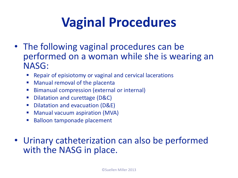## **Vaginal Procedures**

- The following vaginal procedures can be performed on a woman while she is wearing an NASG:
	- **Repair of episiotomy or vaginal and cervical lacerations**
	- Manual removal of the placenta
	- **Bimanual compression (external or internal)**
	- Dilatation and curettage (D&C)
	- **Dilatation and evacuation (D&E)**
	- **Manual vacuum aspiration (MVA)**
	- Balloon tamponade placement

#### • Urinary catheterization can also be performed with the NASG in place.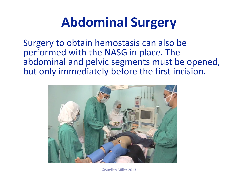### **Abdominal Surgery**

Surgery to obtain hemostasis can also be performed with the NASG in place. The abdominal and pelvic segments must be opened, but only immediately before the first incision.

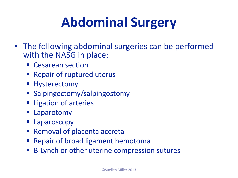# **Abdominal Surgery**

- The following abdominal surgeries can be performed with the NASG in place:
	- **Cesarean section**
	- Repair of ruptured uterus
	- **Hysterectomy**
	- Salpingectomy/salpingostomy
	- **Ligation of arteries**
	- **E** Laparotomy
	- **Laparoscopy**
	- Removal of placenta accreta
	- **Repair of broad ligament hemotoma**
	- B-Lynch or other uterine compression sutures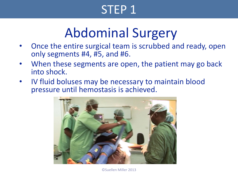#### STEP 1

### Abdominal Surgery

- Once the entire surgical team is scrubbed and ready, open only segments #4, #5, and #6.
- When these segments are open, the patient may go back into shock.
- IV fluid boluses may be necessary to maintain blood pressure until hemostasis is achieved.

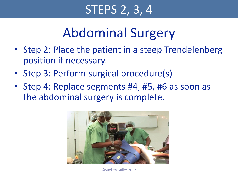### STEPS 2, 3, 4

### Abdominal Surgery

- Step 2: Place the patient in a steep Trendelenberg position if necessary.
- Step 3: Perform surgical procedure(s)
- Step 4: Replace segments #4, #5, #6 as soon as the abdominal surgery is complete.